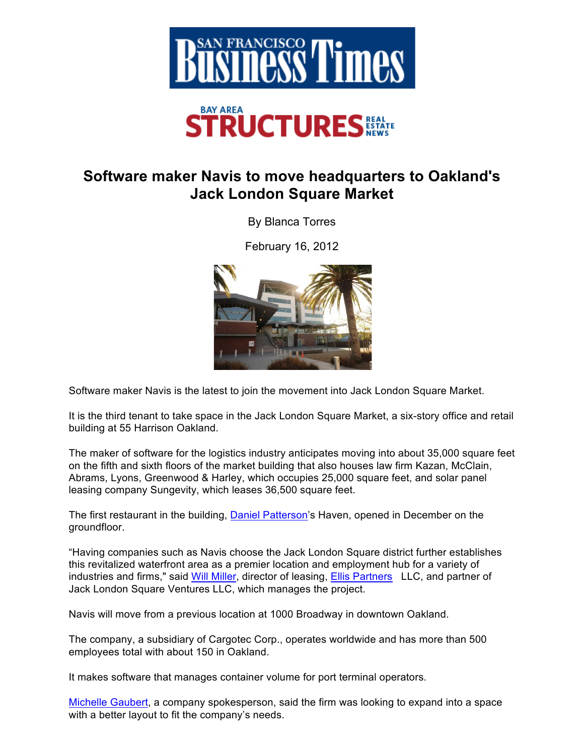

## **Software maker Navis to move headquarters to Oakland's Jack London Square Market**

By Blanca Torres

February 16, 2012



Software maker Navis is the latest to join the movement into Jack London Square Market.

It is the third tenant to take space in the Jack London Square Market, a six-story office and retail building at 55 Harrison Oakland.

The maker of software for the logistics industry anticipates moving into about 35,000 square feet on the fifth and sixth floors of the market building that also houses law firm Kazan, McClain, Abrams, Lyons, Greenwood & Harley, which occupies 25,000 square feet, and solar panel leasing company Sungevity, which leases 36,500 square feet.

The first restaurant in the building, Daniel Patterson's Haven, opened in December on the groundfloor.

"Having companies such as Navis choose the Jack London Square district further establishes this revitalized waterfront area as a premier location and employment hub for a variety of industries and firms," said Will Miller, director of leasing, **Ellis Partners** LLC, and partner of Jack London Square Ventures LLC, which manages the project.

Navis will move from a previous location at 1000 Broadway in downtown Oakland.

The company, a subsidiary of Cargotec Corp., operates worldwide and has more than 500 employees total with about 150 in Oakland.

It makes software that manages container volume for port terminal operators.

Michelle Gaubert, a company spokesperson, said the firm was looking to expand into a space with a better layout to fit the company's needs.